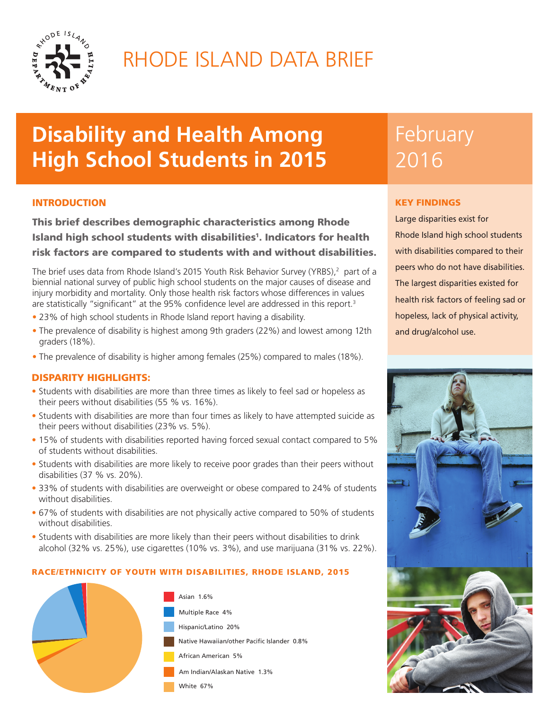

# RHODE ISLAND DATA BRIEF

# **Disability and Health Among High School Students in 2015**

## INTRODUCTION

This brief describes demographic characteristics among Rhode Island high school students with disabilities<sup>1</sup>. Indicators for health risk factors are compared to students with and without disabilities.

The brief uses data from Rhode Island's 2015 Youth Risk Behavior Survey (YRBS),<sup>2</sup> part of a biennial national survey of public high school students on the major causes of disease and injury morbidity and mortality. Only those health risk factors whose differences in values are statistically "significant" at the 95% confidence level are addressed in this report.<sup>3</sup>

- 23% of high school students in Rhode Island report having a disability.
- The prevalence of disability is highest among 9th graders (22%) and lowest among 12th graders (18%).
- The prevalence of disability is higher among females (25%) compared to males (18%).

## DISPARITY HIGHLIGHTS:

- Students with disabilities are more than three times as likely to feel sad or hopeless as their peers without disabilities (55 % vs. 16%).
- Students with disabilities are more than four times as likely to have attempted suicide as their peers without disabilities (23% vs. 5%).
- 15% of students with disabilities reported having forced sexual contact compared to 5% of students without disabilities.
- Students with disabilities are more likely to receive poor grades than their peers without disabilities (37 % vs. 20%).
- 33% of students with disabilities are overweight or obese compared to 24% of students without disabilities.
- 67% of students with disabilities are not physically active compared to 50% of students without disabilities.
- Students with disabilities are more likely than their peers without disabilities to drink alcohol (32% vs. 25%), use cigarettes (10% vs. 3%), and use marijuana (31% vs. 22%).

#### RACE/ETHNICITY OF YOUTH WITH DISABILITIES, RHODE ISLAND, 2015



# **February** 2016

### KEY FINDINGS

Large disparities exist for Rhode Island high school students with disabilities compared to their peers who do not have disabilities. The largest disparities existed for health risk factors of feeling sad or hopeless, lack of physical activity, and drug/alcohol use.